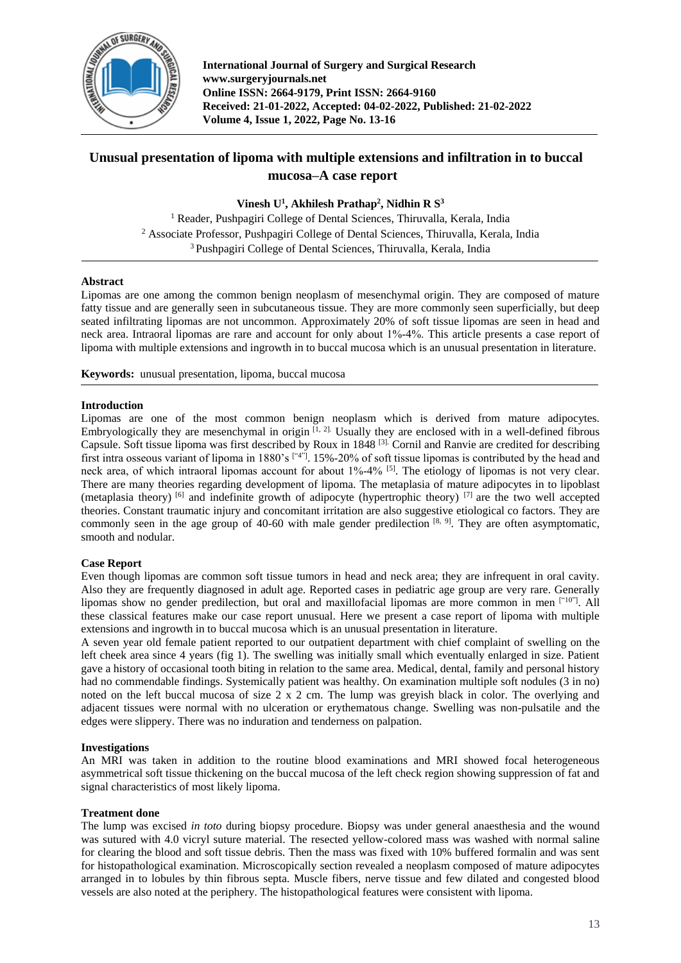

**International Journal of Surgery and Surgical Research www.surgeryjournals.net Online ISSN: 2664-9179, Print ISSN: 2664-9160 Received: 21-01-2022, Accepted: 04-02-2022, Published: 21-02-2022 Volume 4, Issue 1, 2022, Page No. 13-16**

# **Unusual presentation of lipoma with multiple extensions and infiltration in to buccal mucosa–A case report**

**Vinesh U<sup>1</sup> , Akhilesh Prathap<sup>2</sup> , Nidhin R S<sup>3</sup>**

<sup>1</sup> Reader, Pushpagiri College of Dental Sciences, Thiruvalla, Kerala, India <sup>2</sup> Associate Professor, Pushpagiri College of Dental Sciences, Thiruvalla, Kerala, India <sup>3</sup> Pushpagiri College of Dental Sciences, Thiruvalla, Kerala, India

# **Abstract**

Lipomas are one among the common benign neoplasm of mesenchymal origin. They are composed of mature fatty tissue and are generally seen in subcutaneous tissue. They are more commonly seen superficially, but deep seated infiltrating lipomas are not uncommon. Approximately 20% of soft tissue lipomas are seen in head and neck area. Intraoral lipomas are rare and account for only about 1%‐4%. This article presents a case report of lipoma with multiple extensions and ingrowth in to buccal mucosa which is an unusual presentation in literature.

**Keywords:** unusual presentation, lipoma, buccal mucosa

## **Introduction**

Lipomas are one of the most common benign neoplasm which is derived from mature adipocytes. Embryologically they are mesenchymal in origin  $[1, 2]$ . Usually they are enclosed with in a well-defined fibrous Capsule. Soft tissue lipoma was first described by Roux in 1848 [3]. Cornil and Ranvie are credited for describing first intra osseous variant of lipoma in 1880's ["4"]. 15%‐20% of soft tissue lipomas is contributed by the head and neck area, of which intraoral lipomas account for about  $1\%$ -4% <sup>[5]</sup>. The etiology of lipomas is not very clear. There are many theories regarding development of lipoma. The metaplasia of mature adipocytes in to lipoblast (metaplasia theory) <sup>[6]</sup> and indefinite growth of adipocyte (hypertrophic theory) <sup>[7]</sup> are the two well accepted theories. Constant traumatic injury and concomitant irritation are also suggestive etiological co factors. They are commonly seen in the age group of 40-60 with male gender predilection  $[8, 9]$ . They are often asymptomatic, smooth and nodular.

# **Case Report**

Even though lipomas are common soft tissue tumors in head and neck area; they are infrequent in oral cavity. Also they are frequently diagnosed in adult age. Reported cases in pediatric age group are very rare. Generally lipomas show no gender predilection, but oral and maxillofacial lipomas are more common in men ["10"]. All these classical features make our case report unusual. Here we present a case report of lipoma with multiple extensions and ingrowth in to buccal mucosa which is an unusual presentation in literature.

A seven year old female patient reported to our outpatient department with chief complaint of swelling on the left cheek area since 4 years (fig 1). The swelling was initially small which eventually enlarged in size. Patient gave a history of occasional tooth biting in relation to the same area. Medical, dental, family and personal history had no commendable findings. Systemically patient was healthy. On examination multiple soft nodules (3 in no) noted on the left buccal mucosa of size  $2 \times 2$  cm. The lump was greyish black in color. The overlying and adjacent tissues were normal with no ulceration or erythematous change. Swelling was non-pulsatile and the edges were slippery. There was no induration and tenderness on palpation.

# **Investigations**

An MRI was taken in addition to the routine blood examinations and MRI showed focal heterogeneous asymmetrical soft tissue thickening on the buccal mucosa of the left check region showing suppression of fat and signal characteristics of most likely lipoma.

#### **Treatment done**

The lump was excised *in toto* during biopsy procedure. Biopsy was under general anaesthesia and the wound was sutured with 4.0 vicryl suture material. The resected yellow-colored mass was washed with normal saline for clearing the blood and soft tissue debris. Then the mass was fixed with 10% buffered formalin and was sent for histopathological examination. Microscopically section revealed a neoplasm composed of mature adipocytes arranged in to lobules by thin fibrous septa. Muscle fibers, nerve tissue and few dilated and congested blood vessels are also noted at the periphery. The histopathological features were consistent with lipoma.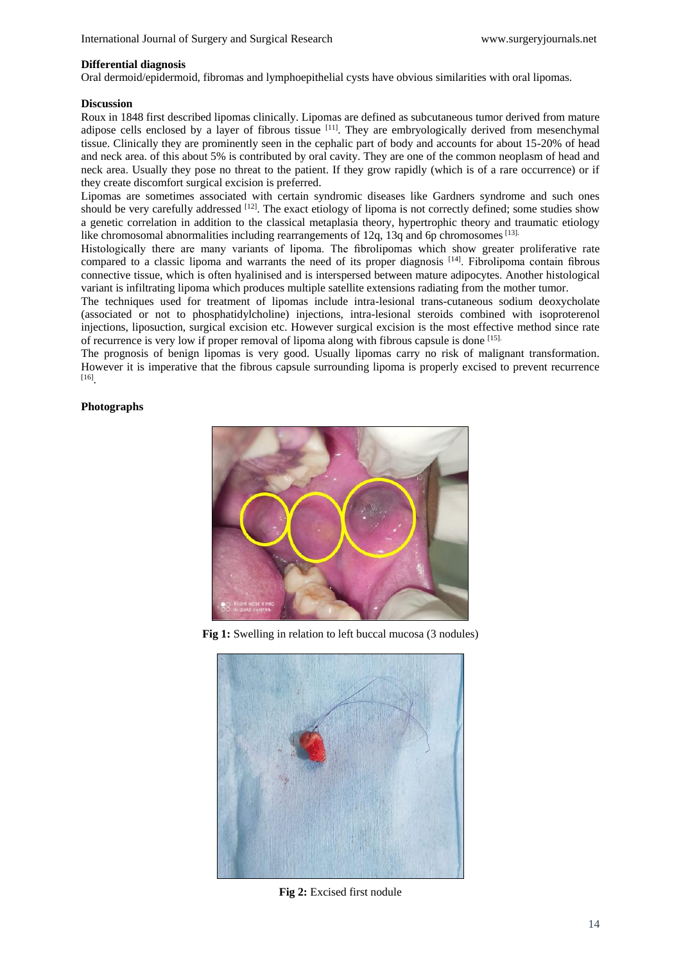## **Differential diagnosis**

Oral dermoid/epidermoid, fibromas and lymphoepithelial cysts have obvious similarities with oral lipomas.

## **Discussion**

Roux in 1848 first described lipomas clinically. Lipomas are defined as subcutaneous tumor derived from mature adipose cells enclosed by a layer of fibrous tissue  $[11]$ . They are embryologically derived from mesenchymal tissue. Clinically they are prominently seen in the cephalic part of body and accounts for about 15-20% of head and neck area. of this about 5% is contributed by oral cavity. They are one of the common neoplasm of head and neck area. Usually they pose no threat to the patient. If they grow rapidly (which is of a rare occurrence) or if they create discomfort surgical excision is preferred.

Lipomas are sometimes associated with certain syndromic diseases like Gardners syndrome and such ones should be very carefully addressed  $^{[12]}$ . The exact etiology of lipoma is not correctly defined; some studies show a genetic correlation in addition to the classical metaplasia theory, hypertrophic theory and traumatic etiology like chromosomal abnormalities including rearrangements of 12q, 13q and 6p chromosomes [13].

Histologically there are many variants of lipoma. The fibrolipomas which show greater proliferative rate compared to a classic lipoma and warrants the need of its proper diagnosis [14] . Fibrolipoma contain fibrous connective tissue, which is often hyalinised and is interspersed between mature adipocytes. Another histological variant is infiltrating lipoma which produces multiple satellite extensions radiating from the mother tumor.

The techniques used for treatment of lipomas include intra-lesional trans-cutaneous sodium deoxycholate (associated or not to phosphatidylcholine) injections, intra-lesional steroids combined with isoproterenol injections, liposuction, surgical excision etc. However surgical excision is the most effective method since rate of recurrence is very low if proper removal of lipoma along with fibrous capsule is done [15].

The prognosis of benign lipomas is very good. Usually lipomas carry no risk of malignant transformation. However it is imperative that the fibrous capsule surrounding lipoma is properly excised to prevent recurrence [16] .

# **Photographs**



**Fig 1:** Swelling in relation to left buccal mucosa (3 nodules)



**Fig 2:** Excised first nodule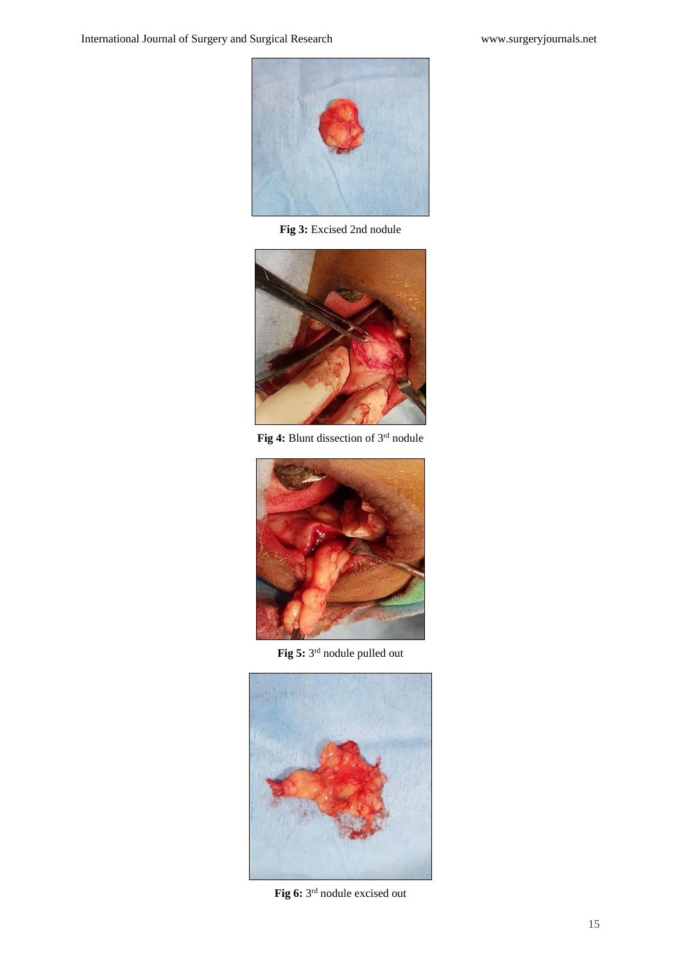

**Fig 3:** Excised 2nd nodule



Fig 4: Blunt dissection of 3<sup>rd</sup> nodule



**Fig 5:** 3 rd nodule pulled out



Fig 6: 3<sup>rd</sup> nodule excised out